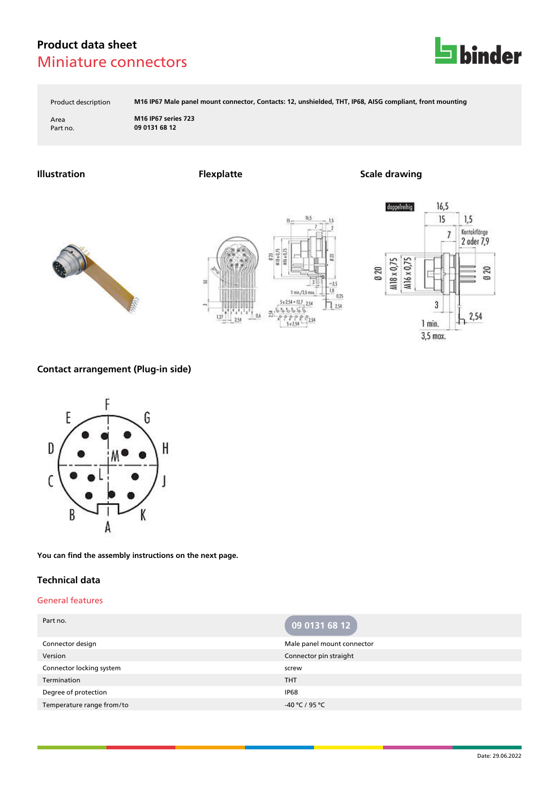

Product description **M16 IP67 Male panel mount connector, Contacts: 12, unshielded, THT, IP68, AISG compliant, front mounting**

Area **M16 IP67 series 723** Part no. **09 0131 68 12**

## **Illustration Flexplatte Scale drawing**







## **Contact arrangement (Plug-in side)**



**You can find the assembly instructions on the next page.**

### **Technical data**

### General features

| Part no.                  | 09 0131 68 12              |
|---------------------------|----------------------------|
| Connector design          | Male panel mount connector |
| Version                   | Connector pin straight     |
| Connector locking system  | screw                      |
| Termination               | <b>THT</b>                 |
| Degree of protection      | <b>IP68</b>                |
| Temperature range from/to | $-40 °C / 95 °C$           |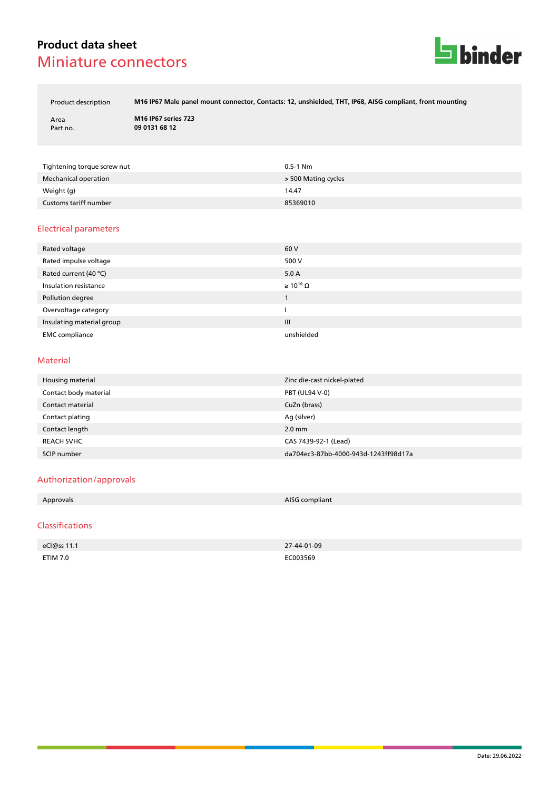

Product description **M16 IP67 Male panel mount connector, Contacts: 12, unshielded, THT, IP68, AISG compliant, front mounting**

Area **M16 IP67 series 723** Part no. **09 0131 68 12**

| Tightening torque screw nut | $0.5 - 1$ Nm        |
|-----------------------------|---------------------|
| Mechanical operation        | > 500 Mating cycles |
| Weight (g)                  | 14.47               |
| Customs tariff number       | 85369010            |

#### Electrical parameters

| Rated voltage             | 60 V                  |
|---------------------------|-----------------------|
| Rated impulse voltage     | 500 V                 |
| Rated current (40 °C)     | 5.0A                  |
| Insulation resistance     | $\geq 10^{10} \Omega$ |
| Pollution degree          |                       |
| Overvoltage category      |                       |
| Insulating material group | $\mathbf{III}$        |
| <b>EMC</b> compliance     | unshielded            |

#### Material

| Housing material      | Zinc die-cast nickel-plated          |
|-----------------------|--------------------------------------|
| Contact body material | <b>PBT (UL94 V-0)</b>                |
| Contact material      | CuZn (brass)                         |
| Contact plating       | Ag (silver)                          |
| Contact length        | $2.0$ mm                             |
| <b>REACH SVHC</b>     | CAS 7439-92-1 (Lead)                 |
| SCIP number           | da704ec3-87bb-4000-943d-1243ff98d17a |

#### Authorization/approvals

| the contract of the contract of | Approvals | AISG compliant |
|---------------------------------|-----------|----------------|
|---------------------------------|-----------|----------------|

#### Classifications

| eCl@ss 11.1 | 27-44-01-09   |
|-------------|---------------|
| ETIM 7.0    | EC003569<br>. |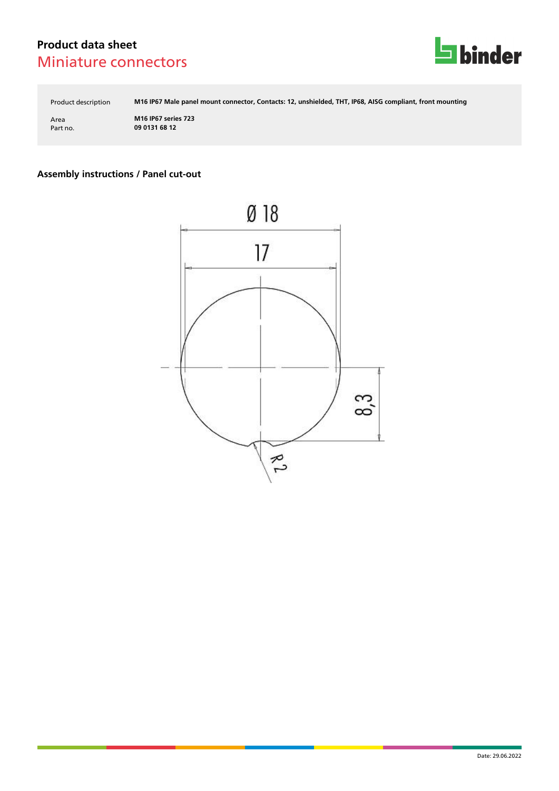

Product description **M16 IP67 Male panel mount connector, Contacts: 12, unshielded, THT, IP68, AISG compliant, front mounting**

Area **M16 IP67 series 723** Part no. **09 0131 68 12**

# **Assembly instructions / Panel cut-out**